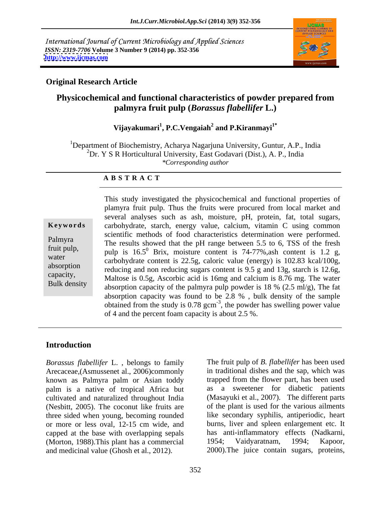International Journal of Current Microbiology and Applied Sciences *ISSN: 2319-7706* **Volume 3 Number 9 (2014) pp. 352-356 <http://www.ijcmas.com>**



#### **Original Research Article**

# **Physicochemical and functional characteristics of powder prepared from palmyra fruit pulp (***Borassus flabellifer* **L.)**

#### **Vijayakumari<sup>1</sup> , P.C.Vengaiah<sup>2</sup> and P.Kiranmayi1\***

<sup>1</sup>Department of Biochemistry, Acharya Nagarjuna University, Guntur, A.P., India  ${}^{2}Dr.$  Y S R Horticultural University, East Godavari (Dist.), A. P., India *\*Corresponding author* 

#### **A B S T R A C T**

**Ke ywo rds** carbohydrate, starch, energy value, calcium, vitamin C using common Palmyra<br>
The results showed that the pH range between 5.5 to 6, TSS of the fresh fruit pulp,<br>
pulp is  $16.5^{\circ}$  Brix, moisture content is 74-77%, ash content is 1.2 g, water<br>
carbohydrate content is 22.5g, caloric value (energy) is 102.83 kcal/100g, absorption<br>
reducing and non reducing sugars content is 9.5 g and 13g, starch is 12.6g, capacity,<br>
Maltose is 0.5g, Ascorbic acid is 16mg and calcium is 8.76 mg. The water Bulk density<br>absorption capacity of the palmyra pulp powder is 18 % (2.5 ml/g), The fat This study investigated the physicochemical and functional properties of plamyra fruit pulp. Thus the fruits were procured from local market and several analyses such as ash, moisture, pH, protein, fat, total sugars, scientific methods of food characteristics determination were performed. absorption capacity was found to be 2.8 % , bulk density of the sample obtained from the study is  $0.78$  gcm<sup>-3</sup>, the powder has swelling power value of 4 and the percent foam capacity is about 2.5 %.

#### **Introduction**

*Borassus flabellifer* L. , belongs to family Arecaceae,(Asmussenet al., 2006)commonly known as Palmyra palm or Asian toddy palm is a native of tropical Africa but cultivated and naturalized throughout India (Nesbitt, 2005). The coconut like fruits are three sided when young, becoming rounded or more or less oval, 12-15 cm wide, and capped at the base with overlapping sepals (Morton, 1988). This plant has a commercial 1954; Vaidyaratnam, 1994; Kapoor, and medicinal value (Ghosh et al., 2012). 2000). The juice contain sugars, proteins,

The fruit pulp of *B. flabellifer* has been used in traditional dishes and the sap, which was trapped from the flower part, has been used as a sweetener for diabetic patients (Masayuki et al., 2007). The different parts of the plant is used for the various ailments like secondary syphilis, antiperiodic, heart burns, liver and spleen enlargement etc. It has anti-inflammatory effects (Nadkarni, 1954; Vaidyaratnam, 1994; Kapoor, 2000).The juice contain sugars, proteins,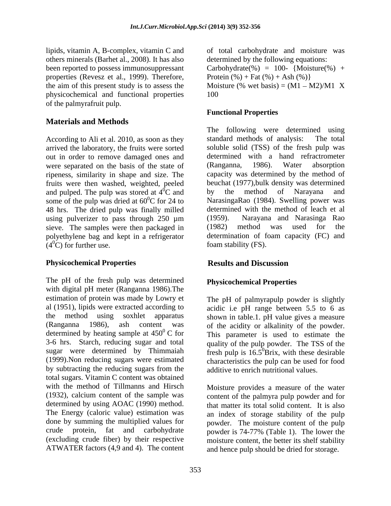lipids, vitamin A, B-complex, vitamin C and of total carbohydrate and moisture was others minerals (Barhet al., 2008). It has also been reported to possess immunosuppressant properties (Revesz et al., 1999). Therefore, physicochemical and functional properties of the palmyrafruit pulp.

### **Materials and Methods**

According to Ali et al. 2010, as soon as they standard methods of analysis: The total out in order to remove damaged ones and determined with a hand r<br>were separated on the basis of the state of (Ranganna, 1986). Water were separated on the basis of the state of (Ranganna, 1986). Water absorption ripeness, similarity in shape and size. The fruits were then washed, weighted, peeled and pulped. The pulp was stored at  $4^0C$  and by the method of Narayana and some of the pulp was dried at  $60^{\circ}$ C for 24 to 48 hrs. The dried pulp was finally milled using pulverizer to pass through  $250 \mu m$  (1959). sieve. The samples were then packaged in (1982) method was used for the polyethylene bag and kept in a refrigerator  $(4^0C)$  for further use.

#### **Physicochemical Properties Results and Discussion**

The pH of the fresh pulp was determined with digital pH meter (Ranganna 1986).The estimation of protein was made by Lowry et al (1951), lipids were extracted according to acidic i.e pH range between 5.5 to 6 as the method using soxhlet apparatus shown in table.1. pH value gives a measure  $(Ranganna 1986)$ , ash content was of the acidity or alkalinity of the powder. determined by heating sample at  $450^{\circ}$  C for This parameter is used to estimate the 3-6 hrs. Starch, reducing sugar and total quality of the pulp powder. The TSS of the sugar were determined by Thimmaiah fresh pulp is  $16.5^0$ Brix, with these desirable (1999).Non reducing sugars were estimated characteristics the pulp can be used for food by subtracting the reducing sugars from the total sugars. Vitamin C content was obtained with the method of Tillmanns and Hirsch<br>
Moisture provides a measure of the water (1932), calcium content of the sample was determined by using AOAC (1990) method. The Energy (caloric value) estimation was done by summing the multiplied values for powder. The moisture content of the pulp crude protein, fat and carbohydrate powder is 74-77% (Table 1). The lower the (excluding crude fiber) by their respective ATWATER factors (4,9 and 4). The content

the aim of this present study is to assess the Moisture  $%$  wet basis) =  $(M1 - M2)/M1$  X determined by the following equations: Carbohydrate(%) = 100- {Moisture(%) + Protein  $(\% )$  + Fat  $(\% )$  + Ash  $(\% )$ } 100

#### **Functional Properties**

arrived the laboratory, the fruits were sorted soluble solid (TSS) of the fresh pulp was  ${}^0C$  and by the method of Narayana and  ${}^{0}C$  for 24 to SarasingaRao (1984). Swelling power was The following were determined using standard methods of analysis: determined with a hand refractrometer (Ranganna, 1986). Water absorption capacity was determined by the method of beuchat (1977),bulk density was determined by the method of Narayana and determined with the method of leach et al Narayana and Narasinga Rao (1982) method was used for the determination of foam capacity (FC) and foam stability (FS).

## **Results and Discussion**

#### **Physicochemical Properties**

The pH of palmyrapulp powder is slightly additive to enrich nutritional values.

content of the palmyra pulp powder and for that matter its total solid content. It is also an index of storage stability of the pulp moisture content, the better its shelf stability and hence pulp should be dried for storage.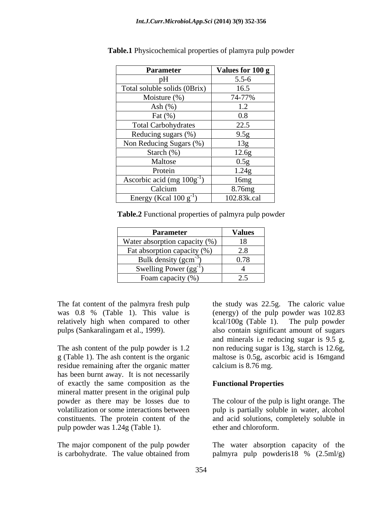| <b>Parameter</b>                    | Values for 100 g |
|-------------------------------------|------------------|
|                                     | $5.5 - 6$        |
| Total soluble solids (0Brix)        | 16.5             |
| Moisture (%)                        | 74-77%           |
| Ash $(\%)$                          | 1.2              |
| Fat $(\%)$                          | $0.8\,$          |
| <b>Total Carbohydrates</b>          | 22.5             |
| Reducing sugars (%)                 | 9.5g             |
| Non Reducing Sugars (%)             | 13g              |
| Starch $(\%)$                       | 12.6g            |
| Maltose                             | 0.5g             |
| Protein                             | 1.24g            |
| Ascorbic acid (mg $100g^{-1}$ )     | 16mg             |
| Calcium                             | 8.76mg           |
| Energy (Kcal $100 \text{ g}^{-1}$ ) | 102.83k.cal      |

**Table.1** Physicochemical properties of plamyra pulp powder

**Table.2** Functional properties of palmyra pulp powder

| <b>Parameter</b>              | <b>Values</b>                                       |
|-------------------------------|-----------------------------------------------------|
| Water absorption capacity (%) | 18                                                  |
| Fat absorption capacity (%)   | റ റ<br>$\angle 0$                                   |
| Bulk density $(gcm^{-3})$     | 0.78                                                |
| Swelling Power $(gg^{-1})$    |                                                     |
| Foam capacity $(\% )$         | $\overline{\phantom{m}}\cdot\overline{\phantom{m}}$ |

relatively high when compared to other  $kcal/100g$  (Table 1). The pulp powder

residue remaining after the organic matter has been burnt away. It is not necessarily of exactly the same composition as the mineral matter present in the original pulp pulp powder was 1.24g (Table 1).

The fat content of the palmyra fresh pulp the study was 22.5g. The caloric value was 0.8 % (Table 1). This value is (energy) of the pulp powder was 102.83 pulps (Sankaralingam et al., 1999). also contain significant amount of sugars The ash content of the pulp powder is 1.2 non reducing sugar is 13g, starch is 12.6g, g (Table 1). The ash content is the organic maltose is 0.5g, ascorbic acid is 16mgand kcal/100g (Table 1). The pulp powder and minerals i.e reducing sugar is 9.5 g, calcium is 8.76 mg.

#### **Functional Properties**

powder as there may be losses due to The colour of the pulp is light orange. The volatilization or some interactions between pulp is partially soluble in water, alcohol constituents. The protein content of the and acid solutions, completely soluble in ether and chloroform.

The major component of the pulp powder The water absorption capacity of the is carbohydrate. The value obtained from palmyra pulp powderis 18 % (2.5ml/g) palmyra pulp powderis18 % (2.5ml/g)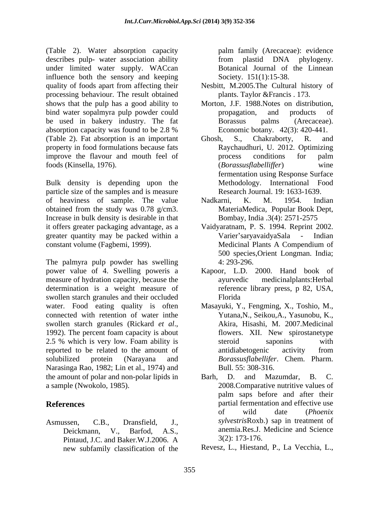(Table 2). Water absorption capacity palm family (Arecaceae): evidence describes pulp- water association ability from plastid DNA phylogeny. under limited water supply. WACcan influence both the sensory and keeping quality of foods apart from affecting their Nesbitt, M.2005.The Cultural history of processing behaviour. The result obtained shows that the pulp has a good ability to Morton, J.F. 1988.Notes on distribution, bind water sopalmyra pulp powder could by propagation, and products of be used in bakery industry. The fat Borassus palms (Arecaceae). absorption capacity was found to be 2.8 % Economic botany. 42(3): 420-441. (Table 2). Fat absorption is an important property in food formulations because fats improve the flavour and mouth feel of the process conditions for palm foods (Kinsella, 1976). (*Borassusflabelliffer*) wine

Bulk density is depending upon the particle size of the samples and is measure of heaviness of sample. The value Nadkarni, K. M. 1954. Indian obtained from the study was 0.78 g/cm3. MateriaMedica, Popular Book Dept,<br>Increase in bulk density is desirable in that Bombay, India .3(4): 2571-2575 it offers greater packaging advantage, as a Vaidyaratnam, P. S. 1994. Reprint 2002. greater quantity may be packed within a Varier's ary availy a Sala - Indian constant volume (Fagbemi, 1999).

The palmyra pulp powder has swelling  $4: 293-296$ . power value of 4. Swelling poweris a Kapoor, L.D. 2000. Hand book of measure of hydration capacity, because the determination is a weight measure of swollen starch granules and their occluded Florida water. Food eating quality is often Masayuki, Y., Fengming, X., Toshio, M., connected with retention of water inthe Yutana, N., Seikou, A., Yasunobu, K., connected with retention of water in the Yutana, N., Seikou, A., Yasunobu, K., swollen starch granules (Rickard *et al.*, Akira, Hisashi, M. 2007.Medicinal 1992). The percent foam capacity is about flowers. XII. New spirostanetype 2.5 % which is very low. Foam ability is steroid saponing with reported to be related to the amount of antidiabetogenic activity from solubilized protein (Narayana and *Borassusflabellifer*. Chem. Pharm. Narasinga Rao, 1982; Lin et al., 1974) and the amount of polar and non-polar lipids in Barh, D. and Mazumdar, B. C.

Pintaud, J.C. and Baker.W.J.2006. A new subfamily classification of the

from plastid DNA phylogeny. Botanical Journal of the Linnean Society. 151(1):15-38.

- plants. Taylor &Francis . 173.
- propagation, and products of Borassus palms (Arecaceae).
- Economic botany. 42(3): 420-441.<br>Ghosh, S., Chakraborty, R. and Raychaudhuri, U. 2012. Optimizing process conditions for palm (*Borassusflabelliffer*) wine fermentation using Response Surface Methodology. International Food Research Journal. 19: 1633-1639.
- Nadkarni, K. M. 1954. Indian MateriaMedica, Popular Book Dept, Bombay, India .3(4): 2571-2575
- Varier saryavaidyaSala Indian Medicinal Plants A Compendium of 500 species,Orient Longman. India; 4: 293-296.
- medicinalplants: Herbal reference library press, p 82, USA, Florida
- Akira, Hisashi, M. 2007.Medicinal flowers. XII. New spirostanetype steroid saponins with antidiabetogenic activity from Bull. 55: 308-316.
- a sample (Nwokolo, 1985). 2008.Comparative nutritive values of **References Partial fermentation and effective use** Asmussen, C.B., Dransfield, J., *sylvestris*Roxb.) sap in treatment of Deickmann, V., Barfod, A.S., anemia.Res.J. Medicine and Science Barh, D. and Mazumdar, B. C. palm saps before and after their of wild date (*Phoenix*  3(2): 173-176.

Revesz, L., Hiestand, P., La Vecchia, L.,